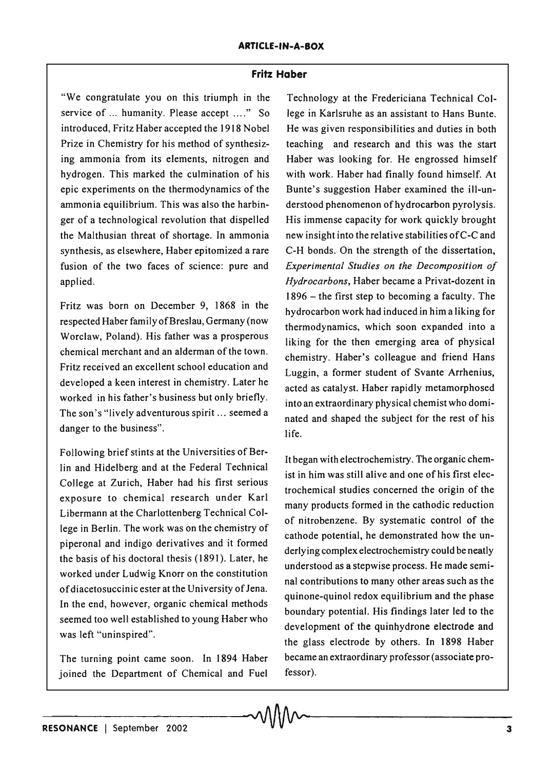## **Fritz Haber**

"We congratulate you on this triumph in the service of ... humanity. Please accept ...." So introduced, Fritz Haber accepted the 1918 Nobel Prize in Chemistry for his method of synthesizing ammonia from its elements, nitrogen and hydrogen. This marked the culmination of his epic experiments on the thermodynamics of the ammonia equilibrium. This was also the harbinger of a technological revolution that dispelled the Malthusian threat of shortage. In ammonia synthesis, as elsewhere, Haber epitomized a rare fusion of the two faces of science: pure and applied.

Fritz was born on December 9, 1868 in the respected Haber family of Breslau, Germany (now Worclaw, Poland). His father was a prosperous chemical merchant and an alderman of the town. Fritz received an excellent school education and developed a keen interest in chemistry. Later he worked in his father's business but only briefly. The son's "lively adventurous spirit ... seemed a danger to the business".

Following brief stints at the Universities of Berlin and Hidelberg and at the Federal Technical College at Zurich, Haber had his first serious exposure to chemical research under Karl Libermann at the Charlottenberg Technical College in Berlin. The work was on the chemistry of piperonal and indigo derivatives and it formed the basis of his doctoral thesis (1891). Later, he worked under Ludwig Knorr on the constitution of diacetosuccinic ester at the University of lena. In the end, however, organic chemical methods seemed too well established to young Haber who was left "uninspired".

The turning point came soon. In 1894 Haber joined the Department of Chemical and Fuel

Technology at the Fredericiana Technical College in Karlsruhe as an assistant to Hans Bunte. He was given responsibilities and duties in both teaching and research and this was the start Haber was looking for. He engrossed himself with work. Haber had finally found himself. At Bunte's suggestion Haber examined the iII-understood phenomenon of hydrocarbon pyrolysis. His immense capacity for work quickly brought new insight into the relative stabilities ofC-C and C-H bonds. On the strength of the dissertation, *Experimental Studies on the Decomposition of Hydrocarbons,* Haber became a Privat-dozent in  $1896$  – the first step to becoming a faculty. The hydrocarbon work had induced in him a liking for thermodynamics, which soon expanded into a liking for the then emerging area of physical chemistry. Haber's colleague and friend Hans Luggin, a former student of Svante Arrhenius, acted as catalyst. Haber rapidly metamorphosed into an extraordinary physical chemist who dominated and shaped the subject for the rest of his life.

It began with electrochemistry. The organic chemist in him was still alive and one of his first electrochemical studies concerned the origin of the many products formed in the cathodic reduction of nitrobenzene. By systematic control of the cathode potential, he demonstrated how the underlying complex electrochemistry could be neatly understood as a stepwise process. He made seminal contributions to many other areas such as the quinone-quinol redox equilibrium and the phase boundary potential. His findings later led to the development of the quinhydrone electrode and the glass electrode by others. In 1898 Haber became an extraordinary professor (associate professor).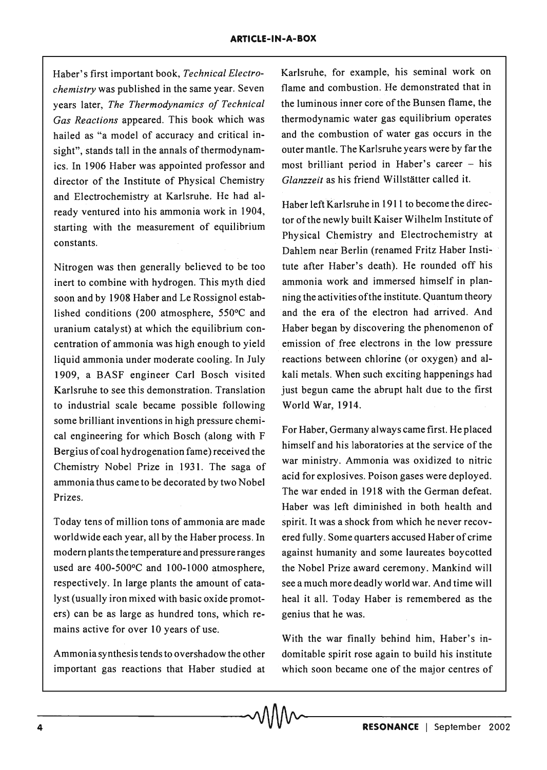Haber's first important book, *Technical Electrochemistry* was published in the same year. Seven years later, *The Thermodynamics of Technical Gas Reactions* appeared. This book which was hailed as "a model of accuracy and critical insight", stands tall in the annals of thermodynamics. In 1906 Haber was appointed professor and director of the Institute of Physical Chemistry and Electrochemistry at Karlsruhe. He had already ventured into his ammonia work in 1904, starting with the measurement of equilibrium constants.

Nitrogen was then generally believed to be too inert to combine with hydrogen. This myth died soon and by 1908 Haber and Le Rossignol established conditions (200 atmosphere, 550°C and uranium catalyst) at which the equilibrium concentration of ammonia was high enough to yield liquid ammonia under moderate cooling. In July 1909, a BASF engineer Carl Bosch visited Karlsruhe to see this demonstration. Translation to industrial scale became possible following some brilliant inventions in high pressure chemical engineering for which Bosch (along with F Bergius of coal hydrogenation fame) received the Chemistry Nobel Prize in 1931. The saga of ammonia thus came to be decorated by two Nobel Prizes.

Today tens of million tons of ammonia are made worldwide each year, all by the Haber process. In modern plants the temperature and pressure ranges used are 400-500°C and 100-1000 atmosphere, respectively. In large plants the amount of catalyst (usually iron mixed with basic oxide promoters) can be as large as hundred tons, which remains active for over 10 years of use.

important gas reactions that Haber studied at which soon became one of the major centres of

Karlsruhe, for example, his seminal work on flame and combustion. He demonstrated that in the luminous inner core of the Bunsen flame, the thermodynamic water gas equilibrium operates and the combustion of water gas occurs in the outer mantle. The Karlsruhe years were by far the most brilliant period in Haber's career - his *Glanzzeit* as his friend Willstätter called it.

Haber left Karlsruhe in 1911 to become the director of the newly built Kaiser Wilhelm Institute of Physical Chemistry and Electrochemistry at Dahlem near Berlin (renamed Fritz Haber Institute after Haber's death). He rounded off his ammonia work and immersed himself in planning the activities of the institute. Quantum theory and the era of the electron had arrived. And Haber began by discovering the phenomenon of emission of free electrons in the low pressure reactions between chlorine (or oxygen) and alkali metals. When such exciting happenings had just begun came the abrupt halt due to the first World War,1914.

For Haber, Germany always came first. He placed himself and his laboratories at the service of the war ministry. Ammonia was oxidized to nitric acid for explosives. Poison gases were deployed. The war ended in 1918 with the German defeat. Haber was left diminished in both health and spirit. It was a shock from which he never recovered fully. Some quarters accused Haber of crime against hUmanity and some laureates boycotted the Nobel Prize award ceremony. Mankind will see a much more deadly world war. And time will heal it all. Today Haber is remembered as the genius that he was.

With the war finally behind him, Haber's in-Ammonia synthesis tends to overshadow the other domitable spirit rose again to build his institute